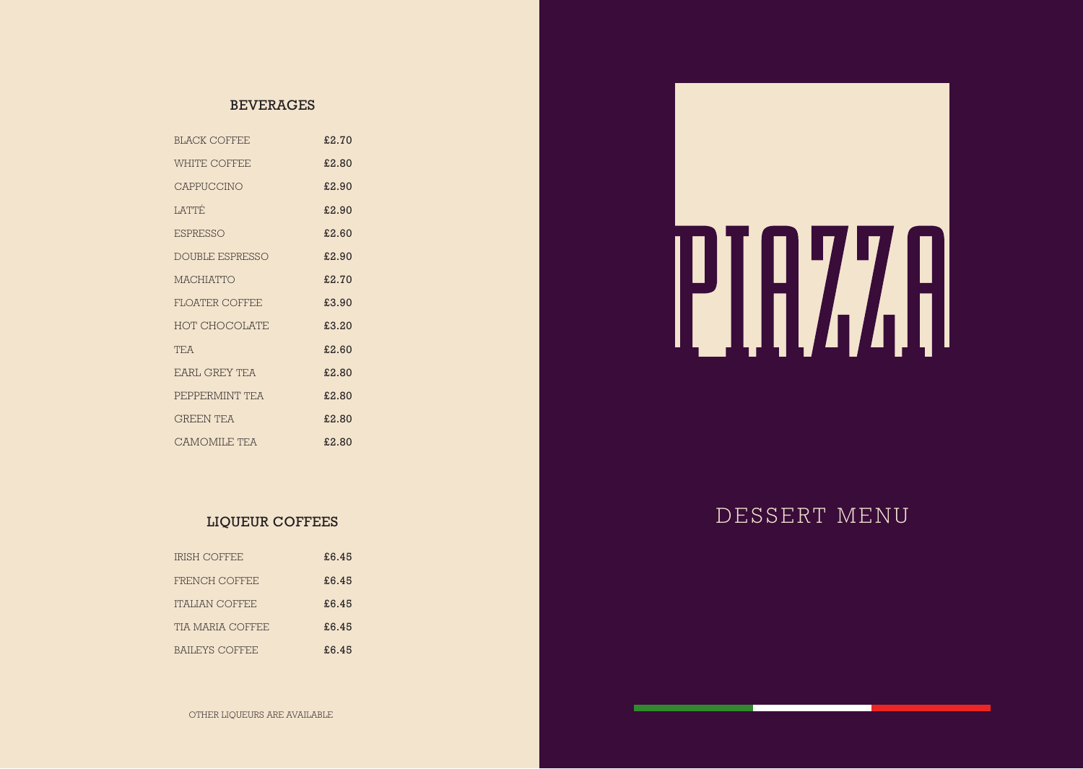#### BEVERAGES

| <b>BLACK COFFEE</b>  | £2.70 |
|----------------------|-------|
| <b>WHITE COFFEE</b>  | £2.80 |
| CAPPUCCINO           | £2.90 |
| <b>LATTÉ</b>         | £2.90 |
| <b>ESPRESSO</b>      | £2.60 |
| DOUBLE ESPRESSO      | £2.90 |
| <b>MACHIATTO</b>     | £2.70 |
| FLOATER COFFEE       | £3.90 |
| <b>HOT CHOCOLATE</b> | £3.20 |
| <b>TF.A</b>          | £2.60 |
| <b>EARL GREY TEA</b> | £2.80 |
| PEPPERMINT TEA       | £2.80 |
| <b>GREEN TEA</b>     | £2.80 |
| CAMOMILE TEA         | £2.80 |

#### LIQUEUR COFFEES

| <b>IRISH COFFEE</b>   | £6.45 |
|-----------------------|-------|
| FRENCH COFFEE         | £6.45 |
| <b>ITALIAN COFFEE</b> | £6.45 |
| TIA MARIA COFFEE      | £6.45 |
| BAILEYS COFFEE        | £6.45 |



DESSERT MENU

OTHER LIQUEURS ARE AVAILABLE